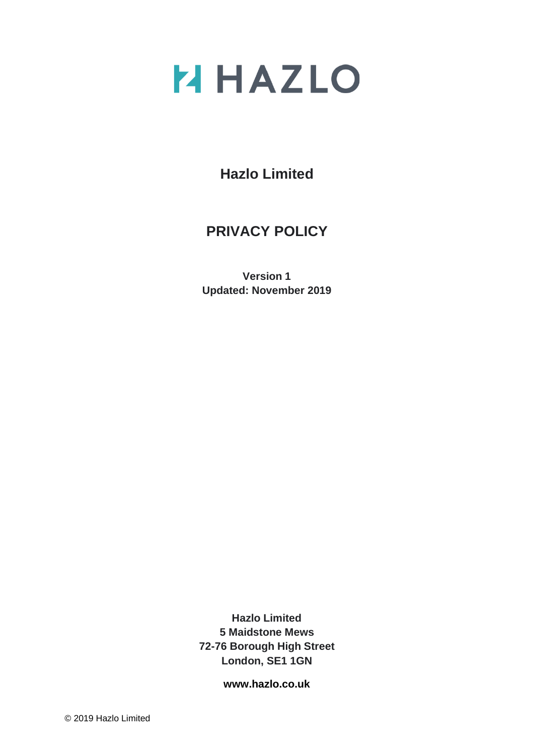# **Z HAZLO**

**Hazlo Limited**

## **PRIVACY POLICY**

**Version 1 Updated: November 2019**

**Hazlo Limited 5 Maidstone Mews 72-76 Borough High Street London, SE1 1GN**

**[www.hazlo.co.uk](http://www.hazlo.co.uk/)**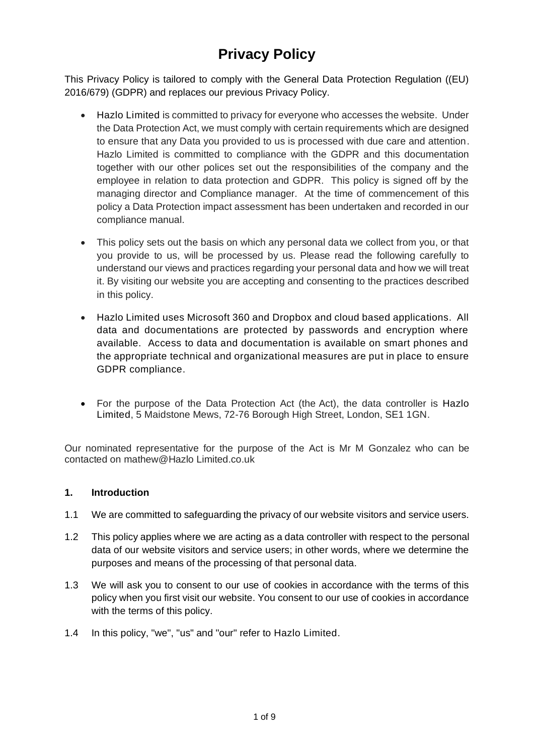# **Privacy Policy**

This Privacy Policy is tailored to comply with the General Data Protection Regulation ((EU) 2016/679) (GDPR) and replaces our previous Privacy Policy.

- Hazlo Limited is committed to privacy for everyone who accesses the website. Under the Data Protection Act, we must comply with certain requirements which are designed to ensure that any Data you provided to us is processed with due care and attention. Hazlo Limited is committed to compliance with the GDPR and this documentation together with our other polices set out the responsibilities of the company and the employee in relation to data protection and GDPR. This policy is signed off by the managing director and Compliance manager. At the time of commencement of this policy a Data Protection impact assessment has been undertaken and recorded in our compliance manual.
- This policy sets out the basis on which any personal data we collect from you, or that you provide to us, will be processed by us. Please read the following carefully to understand our views and practices regarding your personal data and how we will treat it. By visiting our website you are accepting and consenting to the practices described in this policy.
- Hazlo Limited uses Microsoft 360 and Dropbox and cloud based applications. All data and documentations are protected by passwords and encryption where available. Access to data and documentation is available on smart phones and the appropriate technical and organizational measures are put in place to ensure GDPR compliance.
- For the purpose of the Data Protection Act (the Act), the data controller is Hazlo Limited, 5 Maidstone Mews, 72-76 Borough High Street, London, SE1 1GN.

Our nominated representative for the purpose of the Act is Mr M Gonzalez who can be contacted on mathew@Hazlo Limited.co.uk

### **1. Introduction**

- 1.1 We are committed to safeguarding the privacy of our website visitors and service users.
- 1.2 This policy applies where we are acting as a data controller with respect to the personal data of our website visitors and service users; in other words, where we determine the purposes and means of the processing of that personal data.
- 1.3 We will ask you to consent to our use of cookies in accordance with the terms of this policy when you first visit our website. You consent to our use of cookies in accordance with the terms of this policy.
- 1.4 In this policy, "we", "us" and "our" refer to Hazlo Limited.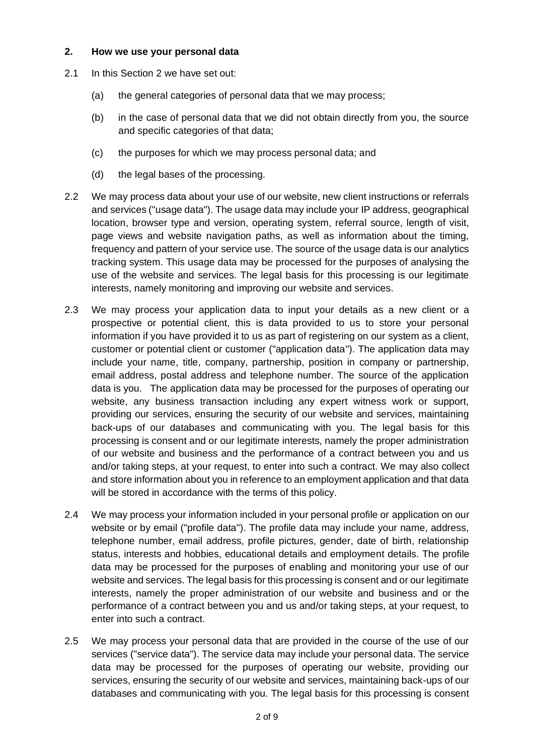#### **2. How we use your personal data**

- 2.1 In this Section 2 we have set out:
	- (a) the general categories of personal data that we may process;
	- (b) in the case of personal data that we did not obtain directly from you, the source and specific categories of that data;
	- (c) the purposes for which we may process personal data; and
	- (d) the legal bases of the processing.
- 2.2 We may process data about your use of our website, new client instructions or referrals and services ("usage data"). The usage data may include your IP address, geographical location, browser type and version, operating system, referral source, length of visit, page views and website navigation paths, as well as information about the timing, frequency and pattern of your service use. The source of the usage data is our analytics tracking system. This usage data may be processed for the purposes of analysing the use of the website and services. The legal basis for this processing is our legitimate interests, namely monitoring and improving our website and services.
- 2.3 We may process your application data to input your details as a new client or a prospective or potential client, this is data provided to us to store your personal information if you have provided it to us as part of registering on our system as a client, customer or potential client or customer ("application data"). The application data may include your name, title, company, partnership, position in company or partnership, email address, postal address and telephone number. The source of the application data is you. The application data may be processed for the purposes of operating our website, any business transaction including any expert witness work or support, providing our services, ensuring the security of our website and services, maintaining back-ups of our databases and communicating with you. The legal basis for this processing is consent and or our legitimate interests, namely the proper administration of our website and business and the performance of a contract between you and us and/or taking steps, at your request, to enter into such a contract. We may also collect and store information about you in reference to an employment application and that data will be stored in accordance with the terms of this policy.
- 2.4 We may process your information included in your personal profile or application on our website or by email ("profile data"). The profile data may include your name, address, telephone number, email address, profile pictures, gender, date of birth, relationship status, interests and hobbies, educational details and employment details. The profile data may be processed for the purposes of enabling and monitoring your use of our website and services. The legal basis for this processing is consent and or our legitimate interests, namely the proper administration of our website and business and or the performance of a contract between you and us and/or taking steps, at your request, to enter into such a contract.
- 2.5 We may process your personal data that are provided in the course of the use of our services ("service data"). The service data may include your personal data. The service data may be processed for the purposes of operating our website, providing our services, ensuring the security of our website and services, maintaining back-ups of our databases and communicating with you. The legal basis for this processing is consent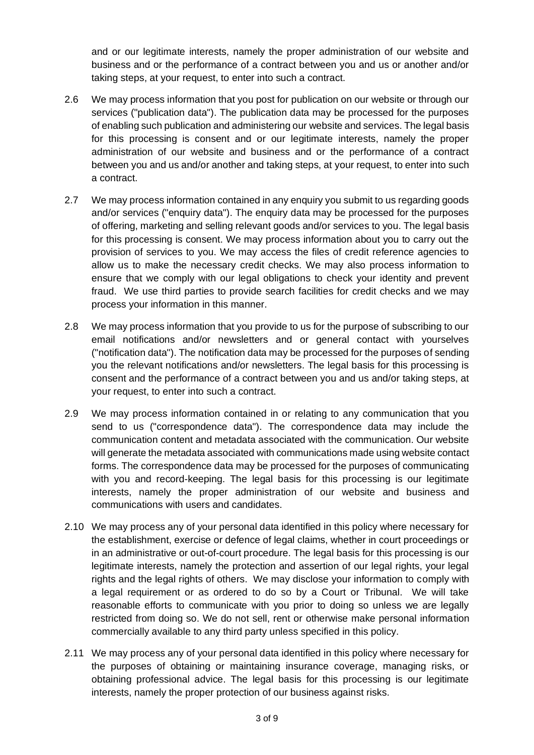and or our legitimate interests, namely the proper administration of our website and business and or the performance of a contract between you and us or another and/or taking steps, at your request, to enter into such a contract.

- 2.6 We may process information that you post for publication on our website or through our services ("publication data"). The publication data may be processed for the purposes of enabling such publication and administering our website and services. The legal basis for this processing is consent and or our legitimate interests, namely the proper administration of our website and business and or the performance of a contract between you and us and/or another and taking steps, at your request, to enter into such a contract.
- 2.7 We may process information contained in any enquiry you submit to us regarding goods and/or services ("enquiry data"). The enquiry data may be processed for the purposes of offering, marketing and selling relevant goods and/or services to you. The legal basis for this processing is consent. We may process information about you to carry out the provision of services to you. We may access the files of credit reference agencies to allow us to make the necessary credit checks. We may also process information to ensure that we comply with our legal obligations to check your identity and prevent fraud. We use third parties to provide search facilities for credit checks and we may process your information in this manner.
- 2.8 We may process information that you provide to us for the purpose of subscribing to our email notifications and/or newsletters and or general contact with yourselves ("notification data"). The notification data may be processed for the purposes of sending you the relevant notifications and/or newsletters. The legal basis for this processing is consent and the performance of a contract between you and us and/or taking steps, at your request, to enter into such a contract.
- 2.9 We may process information contained in or relating to any communication that you send to us ("correspondence data"). The correspondence data may include the communication content and metadata associated with the communication. Our website will generate the metadata associated with communications made using website contact forms. The correspondence data may be processed for the purposes of communicating with you and record-keeping. The legal basis for this processing is our legitimate interests, namely the proper administration of our website and business and communications with users and candidates.
- 2.10 We may process any of your personal data identified in this policy where necessary for the establishment, exercise or defence of legal claims, whether in court proceedings or in an administrative or out-of-court procedure. The legal basis for this processing is our legitimate interests, namely the protection and assertion of our legal rights, your legal rights and the legal rights of others. We may disclose your information to comply with a legal requirement or as ordered to do so by a Court or Tribunal. We will take reasonable efforts to communicate with you prior to doing so unless we are legally restricted from doing so. We do not sell, rent or otherwise make personal information commercially available to any third party unless specified in this policy.
- 2.11 We may process any of your personal data identified in this policy where necessary for the purposes of obtaining or maintaining insurance coverage, managing risks, or obtaining professional advice. The legal basis for this processing is our legitimate interests, namely the proper protection of our business against risks.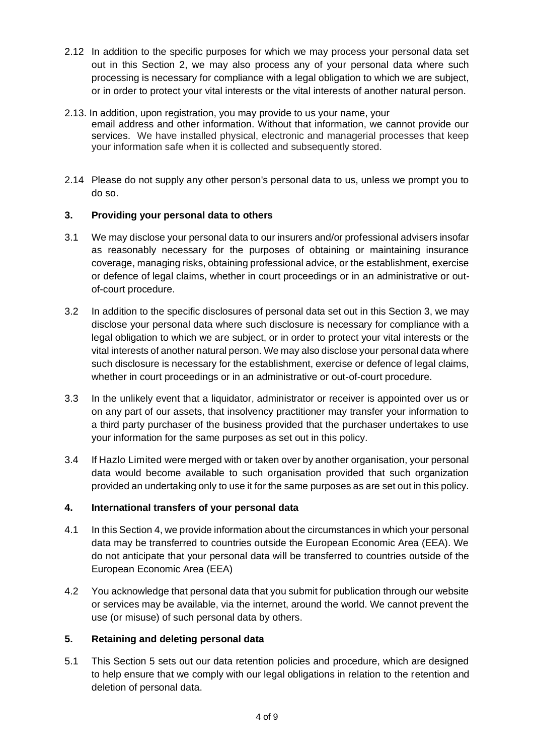- 2.12 In addition to the specific purposes for which we may process your personal data set out in this Section 2, we may also process any of your personal data where such processing is necessary for compliance with a legal obligation to which we are subject, or in order to protect your vital interests or the vital interests of another natural person.
- 2.13. In addition, upon registration, you may provide to us your name, your email address and other information. Without that information, we cannot provide our services. We have installed physical, electronic and managerial processes that keep your information safe when it is collected and subsequently stored.
- 2.14 Please do not supply any other person's personal data to us, unless we prompt you to do so.

### **3. Providing your personal data to others**

- 3.1 We may disclose your personal data to our insurers and/or professional advisers insofar as reasonably necessary for the purposes of obtaining or maintaining insurance coverage, managing risks, obtaining professional advice, or the establishment, exercise or defence of legal claims, whether in court proceedings or in an administrative or outof-court procedure.
- 3.2 In addition to the specific disclosures of personal data set out in this Section 3, we may disclose your personal data where such disclosure is necessary for compliance with a legal obligation to which we are subject, or in order to protect your vital interests or the vital interests of another natural person. We may also disclose your personal data where such disclosure is necessary for the establishment, exercise or defence of legal claims, whether in court proceedings or in an administrative or out-of-court procedure.
- 3.3 In the unlikely event that a liquidator, administrator or receiver is appointed over us or on any part of our assets, that insolvency practitioner may transfer your information to a third party purchaser of the business provided that the purchaser undertakes to use your information for the same purposes as set out in this policy.
- 3.4 If Hazlo Limited were merged with or taken over by another organisation, your personal data would become available to such organisation provided that such organization provided an undertaking only to use it for the same purposes as are set out in this policy.

## **4. International transfers of your personal data**

- 4.1 In this Section 4, we provide information about the circumstances in which your personal data may be transferred to countries outside the European Economic Area (EEA). We do not anticipate that your personal data will be transferred to countries outside of the European Economic Area (EEA)
- 4.2 You acknowledge that personal data that you submit for publication through our website or services may be available, via the internet, around the world. We cannot prevent the use (or misuse) of such personal data by others.

### **5. Retaining and deleting personal data**

5.1 This Section 5 sets out our data retention policies and procedure, which are designed to help ensure that we comply with our legal obligations in relation to the retention and deletion of personal data.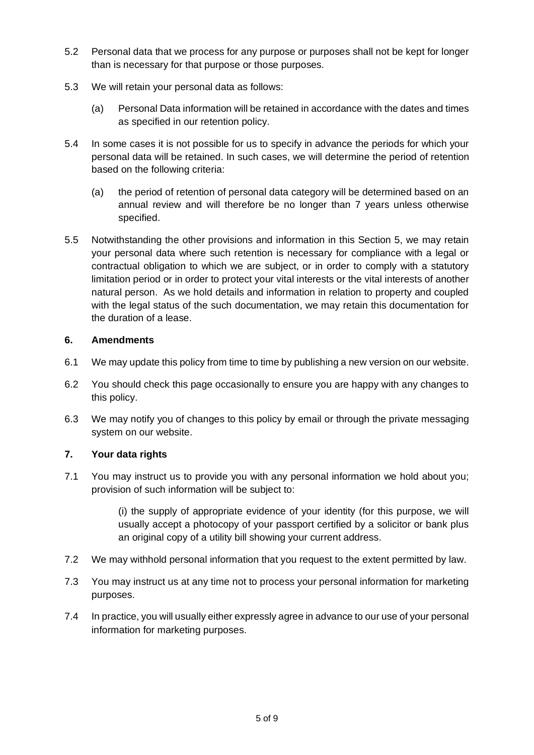- 5.2 Personal data that we process for any purpose or purposes shall not be kept for longer than is necessary for that purpose or those purposes.
- 5.3 We will retain your personal data as follows:
	- (a) Personal Data information will be retained in accordance with the dates and times as specified in our retention policy.
- 5.4 In some cases it is not possible for us to specify in advance the periods for which your personal data will be retained. In such cases, we will determine the period of retention based on the following criteria:
	- (a) the period of retention of personal data category will be determined based on an annual review and will therefore be no longer than 7 years unless otherwise specified.
- 5.5 Notwithstanding the other provisions and information in this Section 5, we may retain your personal data where such retention is necessary for compliance with a legal or contractual obligation to which we are subject, or in order to comply with a statutory limitation period or in order to protect your vital interests or the vital interests of another natural person. As we hold details and information in relation to property and coupled with the legal status of the such documentation, we may retain this documentation for the duration of a lease.

#### **6. Amendments**

- 6.1 We may update this policy from time to time by publishing a new version on our website.
- 6.2 You should check this page occasionally to ensure you are happy with any changes to this policy.
- 6.3 We may notify you of changes to this policy by email or through the private messaging system on our website.

### **7. Your data rights**

7.1 You may instruct us to provide you with any personal information we hold about you; provision of such information will be subject to:

> (i) the supply of appropriate evidence of your identity (for this purpose, we will usually accept a photocopy of your passport certified by a solicitor or bank plus an original copy of a utility bill showing your current address.

- 7.2 We may withhold personal information that you request to the extent permitted by law.
- 7.3 You may instruct us at any time not to process your personal information for marketing purposes.
- 7.4 In practice, you will usually either expressly agree in advance to our use of your personal information for marketing purposes.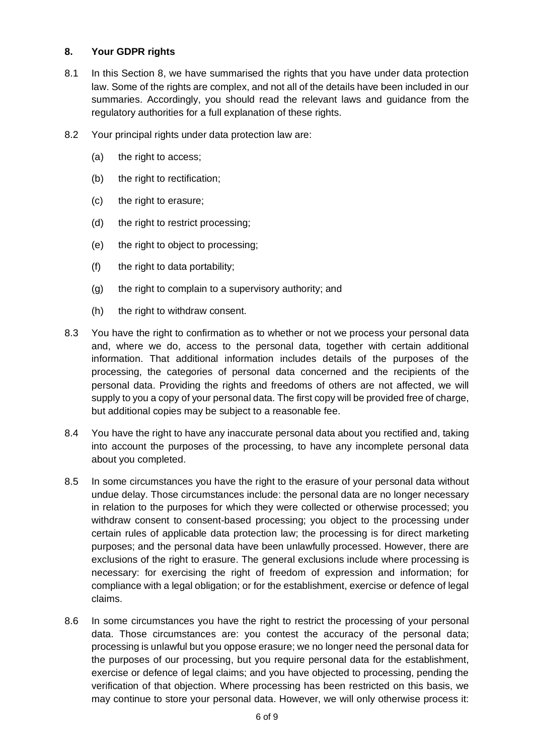#### **8. Your GDPR rights**

- 8.1 In this Section 8, we have summarised the rights that you have under data protection law. Some of the rights are complex, and not all of the details have been included in our summaries. Accordingly, you should read the relevant laws and guidance from the regulatory authorities for a full explanation of these rights.
- 8.2 Your principal rights under data protection law are:
	- (a) the right to access;
	- (b) the right to rectification;
	- (c) the right to erasure;
	- (d) the right to restrict processing;
	- (e) the right to object to processing;
	- (f) the right to data portability;
	- (g) the right to complain to a supervisory authority; and
	- (h) the right to withdraw consent.
- 8.3 You have the right to confirmation as to whether or not we process your personal data and, where we do, access to the personal data, together with certain additional information. That additional information includes details of the purposes of the processing, the categories of personal data concerned and the recipients of the personal data. Providing the rights and freedoms of others are not affected, we will supply to you a copy of your personal data. The first copy will be provided free of charge, but additional copies may be subject to a reasonable fee.
- 8.4 You have the right to have any inaccurate personal data about you rectified and, taking into account the purposes of the processing, to have any incomplete personal data about you completed.
- 8.5 In some circumstances you have the right to the erasure of your personal data without undue delay. Those circumstances include: the personal data are no longer necessary in relation to the purposes for which they were collected or otherwise processed; you withdraw consent to consent-based processing; you object to the processing under certain rules of applicable data protection law; the processing is for direct marketing purposes; and the personal data have been unlawfully processed. However, there are exclusions of the right to erasure. The general exclusions include where processing is necessary: for exercising the right of freedom of expression and information; for compliance with a legal obligation; or for the establishment, exercise or defence of legal claims.
- 8.6 In some circumstances you have the right to restrict the processing of your personal data. Those circumstances are: you contest the accuracy of the personal data; processing is unlawful but you oppose erasure; we no longer need the personal data for the purposes of our processing, but you require personal data for the establishment, exercise or defence of legal claims; and you have objected to processing, pending the verification of that objection. Where processing has been restricted on this basis, we may continue to store your personal data. However, we will only otherwise process it: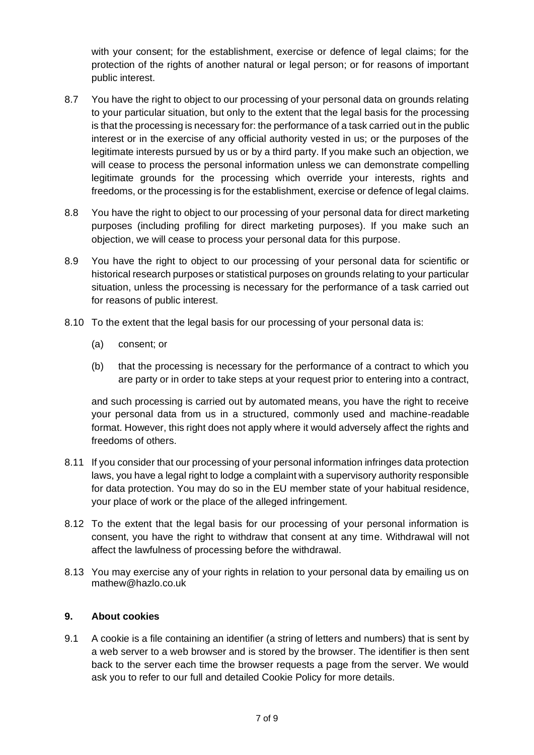with your consent; for the establishment, exercise or defence of legal claims; for the protection of the rights of another natural or legal person; or for reasons of important public interest.

- 8.7 You have the right to object to our processing of your personal data on grounds relating to your particular situation, but only to the extent that the legal basis for the processing is that the processing is necessary for: the performance of a task carried out in the public interest or in the exercise of any official authority vested in us; or the purposes of the legitimate interests pursued by us or by a third party. If you make such an objection, we will cease to process the personal information unless we can demonstrate compelling legitimate grounds for the processing which override your interests, rights and freedoms, or the processing is for the establishment, exercise or defence of legal claims.
- 8.8 You have the right to object to our processing of your personal data for direct marketing purposes (including profiling for direct marketing purposes). If you make such an objection, we will cease to process your personal data for this purpose.
- 8.9 You have the right to object to our processing of your personal data for scientific or historical research purposes or statistical purposes on grounds relating to your particular situation, unless the processing is necessary for the performance of a task carried out for reasons of public interest.
- 8.10 To the extent that the legal basis for our processing of your personal data is:
	- (a) consent; or
	- (b) that the processing is necessary for the performance of a contract to which you are party or in order to take steps at your request prior to entering into a contract,

and such processing is carried out by automated means, you have the right to receive your personal data from us in a structured, commonly used and machine-readable format. However, this right does not apply where it would adversely affect the rights and freedoms of others.

- 8.11 If you consider that our processing of your personal information infringes data protection laws, you have a legal right to lodge a complaint with a supervisory authority responsible for data protection. You may do so in the EU member state of your habitual residence, your place of work or the place of the alleged infringement.
- 8.12 To the extent that the legal basis for our processing of your personal information is consent, you have the right to withdraw that consent at any time. Withdrawal will not affect the lawfulness of processing before the withdrawal.
- 8.13 You may exercise any of your rights in relation to your personal data by emailing us on mathew@hazlo.co.uk

### **9. About cookies**

9.1 A cookie is a file containing an identifier (a string of letters and numbers) that is sent by a web server to a web browser and is stored by the browser. The identifier is then sent back to the server each time the browser requests a page from the server. We would ask you to refer to our full and detailed Cookie Policy for more details.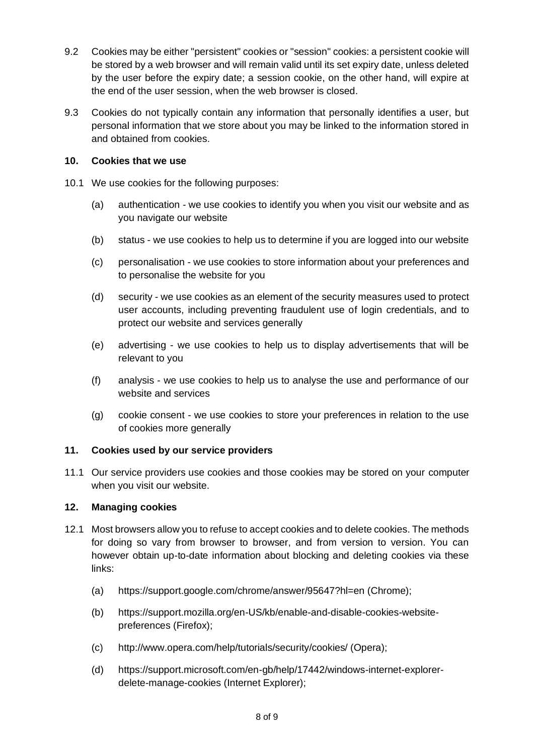- 9.2 Cookies may be either "persistent" cookies or "session" cookies: a persistent cookie will be stored by a web browser and will remain valid until its set expiry date, unless deleted by the user before the expiry date; a session cookie, on the other hand, will expire at the end of the user session, when the web browser is closed.
- 9.3 Cookies do not typically contain any information that personally identifies a user, but personal information that we store about you may be linked to the information stored in and obtained from cookies.

### **10. Cookies that we use**

- 10.1 We use cookies for the following purposes:
	- (a) authentication we use cookies to identify you when you visit our website and as you navigate our website
	- (b) status we use cookies to help us to determine if you are logged into our website
	- (c) personalisation we use cookies to store information about your preferences and to personalise the website for you
	- (d) security we use cookies as an element of the security measures used to protect user accounts, including preventing fraudulent use of login credentials, and to protect our website and services generally
	- (e) advertising we use cookies to help us to display advertisements that will be relevant to you
	- (f) analysis we use cookies to help us to analyse the use and performance of our website and services
	- (g) cookie consent we use cookies to store your preferences in relation to the use of cookies more generally

### **11. Cookies used by our service providers**

11.1 Our service providers use cookies and those cookies may be stored on your computer when you visit our website.

#### **12. Managing cookies**

- 12.1 Most browsers allow you to refuse to accept cookies and to delete cookies. The methods for doing so vary from browser to browser, and from version to version. You can however obtain up-to-date information about blocking and deleting cookies via these links:
	- (a) https://support.google.com/chrome/answer/95647?hl=en (Chrome);
	- (b) https://support.mozilla.org/en-US/kb/enable-and-disable-cookies-websitepreferences (Firefox);
	- (c) http://www.opera.com/help/tutorials/security/cookies/ (Opera);
	- (d) https://support.microsoft.com/en-gb/help/17442/windows-internet-explorerdelete-manage-cookies (Internet Explorer);